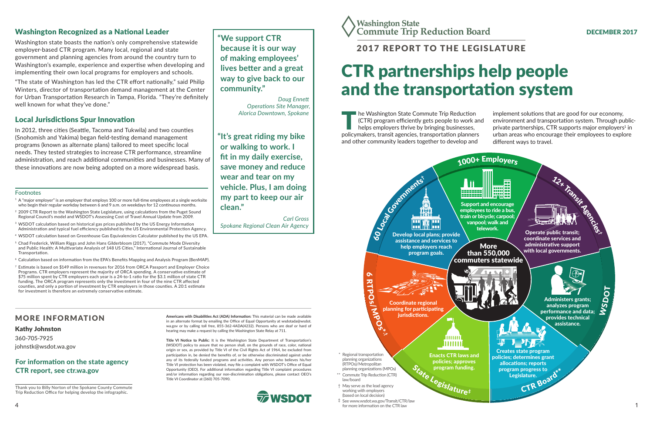# CTR partnerships help people and the transportation system

#### DECEMBER 2017

The Washington State Commute Trip Reduction<br>
(CTR) program efficiently gets people to work a<br>
helps employers thrive by bringing businesses,<br>
policymakers transit agencies transportation planners (CTR) program efficiently gets people to work and helps employers thrive by bringing businesses, policymakers, transit agencies, transportation planners and other community leaders together to develop and

implement solutions that are good for our economy, environment and transportation system. Through publicprivate partnerships, CTR supports major employers $^{\text{1}}$  in urban areas who encourage their employees to explore different ways to travel.

# 2017 REPORT TO THE LEGISLATURE

#### MORE INFORMATION

#### Kathy Johnston

360-705-7925 johnstk@wsdot.wa.gov

Thank you to Billy Norton of the Spokane County Commute Trip Reduction Office for helping develop the infographic.

#### Support and encourage employees to ride a bus, train or bicycle; carpool; vanpool; walk and telework. Administers grants; analyzes program performance and data; provides technical assistance. More than 550,000 commuters statewide 1000+ Employers WSDOT 12x Transit Reeds Operate public transit: coordinate services and administrative support with local governments. Creates state program policies; determines grant allocations; reports program progress to Legislature. CTR Board

**Americans with Disabilities Act (ADA) Information:** This material can be made available in an alternate format by emailing the Office of Equal Opportunity at wsdotada@wsdot. wa.gov or by calling toll free, 855-362-4ADA(4232). Persons who are deaf or hard of hearing may make a request by calling the Washington State Relay at 711.

**Title VI Notice to Public**: It is the Washington State Department of Transportation's (WSDOT) policy to assure that no person shall, on the grounds of race, color, national origin or sex, as provided by Title VI of the Civil Rights Act of 1964, be excluded from participation in, be denied the benefits of, or be otherwise discriminated against under any of its federally funded programs and activities. Any person who believes his/her Title VI protection has been violated, may file a complaint with WSDOT's Office of Equal Opportunity (OEO). For additional information regarding Title VI complaint procedures and/or information regarding our non-discrimination obligations, please contact OEO's Title VI Coordinator at (360) 705-7090.



- $1$  A "major employer" is an employer that employs 100 or more full-time employees at a single worksite who begin their regular workday between 6 and 9 a.m. on weekdays for 12 continuous months.
- <sup>2</sup> 2009 CTR Report to the Washington State Legislature, using calculations from the Puget Sound Regional Council's model and WSDOT's Assessing Cost of Travel Annual Update from 2009.
- <sup>3</sup> WSDOT calculation based on historical gas prices published by the US Energy Information Administration and typical fuel efficiency published by the US Environmental Protection Agency.
- <sup>4</sup> WSDOT calculation based on Greenhouse Gas Equivalencies Calculator published by the US EPA.
- <sup>5</sup> Chad Frederick, William Riggs and John Hans Gilderbloom (2017), "Commute Mode Diversity and Public Health: A Multivariate Analysis of 148 US Cities," International Journal of Sustainable **Transportation**
- <sup>6</sup> Calculation based on information from the EPA's Benefits Mapping and Analysis Program (BenMAP).
- $7$  Estimate is based on \$149 million in revenues for 2016 from ORCA Passport and Employer Choice Programs. CTR employers represent the majority of ORCA spending. A conservative estimate of \$75 million spent by CTR employers each year is a 24-to-1 ratio for the \$3.1 million of state CTR funding. The ORCA program represents only the investment in four of the nine CTR affected counties, and only a portion of investment by CTR employers in those counties. A 20:1 estimate for investment is therefore an extremely conservative estimate.



law/board

#### For information on the state agency CTR report, see ctr.wa.gov

**"We support CTR because it is our way of making employees' lives better and a great way to give back to our community."** 

> *Doug Ennett Operations Site Manager, Alorica Downtown, Spokane*

**"It's great riding my bike or walking to work. I fit in my daily exercise, save money and reduce wear and tear on my vehicle. Plus, I am doing my part to keep our air clean."**

*Carl Gross Spokane Regional Clean Air Agency*



#### Washington Recognized as a National Leader

Washington state boasts the nation's only comprehensive statewide employer-based CTR program. Many local, regional and state government and planning agencies from around the country turn to Washington's example, experience and expertise when developing and implementing their own local programs for employers and schools.

"The state of Washington has led the CTR effort nationally," said Philip Winters, director of transportation demand management at the Center for Urban Transportation Research in Tampa, Florida. "They're definitely well known for what they've done."

### Local Jurisdictions Spur Innovation

In 2012, three cities (Seattle, Tacoma and Tukwila) and two counties (Snohomish and Yakima) began field-testing demand management programs (known as alternate plans) tailored to meet specific local needs. They tested strategies to increase CTR performance, streamline administration, and reach additional communities and businesses. Many of these innovations are now being adopted on a more widespread basis.

#### Footnotes